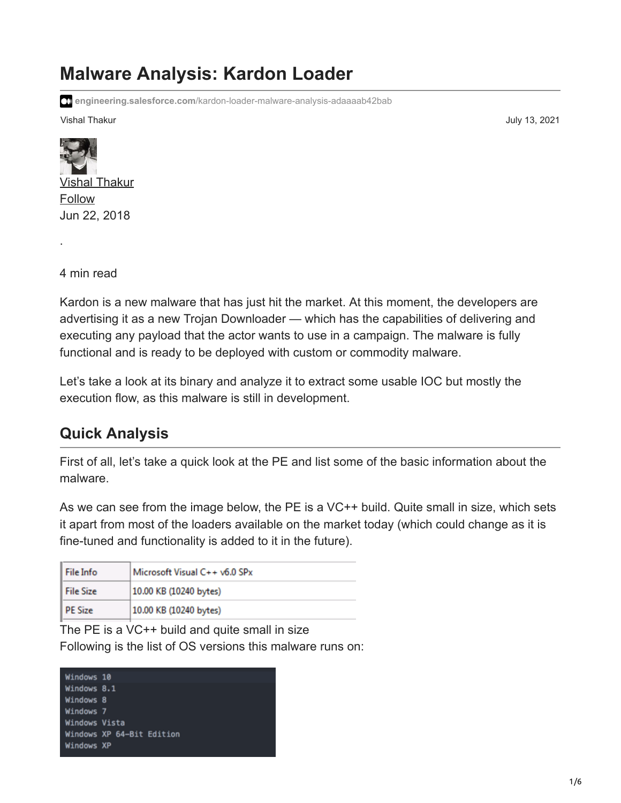# **Malware Analysis: Kardon Loader**

**engineering.salesforce.com**[/kardon-loader-malware-analysis-adaaaab42bab](https://engineering.salesforce.com/kardon-loader-malware-analysis-adaaaab42bab)

Vishal Thakur July 13, 2021



4 min read

·

Kardon is a new malware that has just hit the market. At this moment, the developers are advertising it as a new Trojan Downloader — which has the capabilities of delivering and executing any payload that the actor wants to use in a campaign. The malware is fully functional and is ready to be deployed with custom or commodity malware.

Let's take a look at its binary and analyze it to extract some usable IOC but mostly the execution flow, as this malware is still in development.

### **Quick Analysis**

First of all, let's take a quick look at the PE and list some of the basic information about the malware.

As we can see from the image below, the PE is a VC++ build. Quite small in size, which sets it apart from most of the loaders available on the market today (which could change as it is fine-tuned and functionality is added to it in the future).

| l File Info    | Microsoft Visual C++ v6.0 SPx |
|----------------|-------------------------------|
| l File Size    | 10.00 KB (10240 bytes)        |
| <b>PE Size</b> | 10.00 KB (10240 bytes)        |

The PE is a VC++ build and quite small in size Following is the list of OS versions this malware runs on:

| Windows 10    |                           |
|---------------|---------------------------|
| Windows 8.1   |                           |
| Windows 8     |                           |
| Windows 7     |                           |
| Windows Vista |                           |
|               | Windows XP 64-Bit Edition |
| Windows XP    |                           |
|               |                           |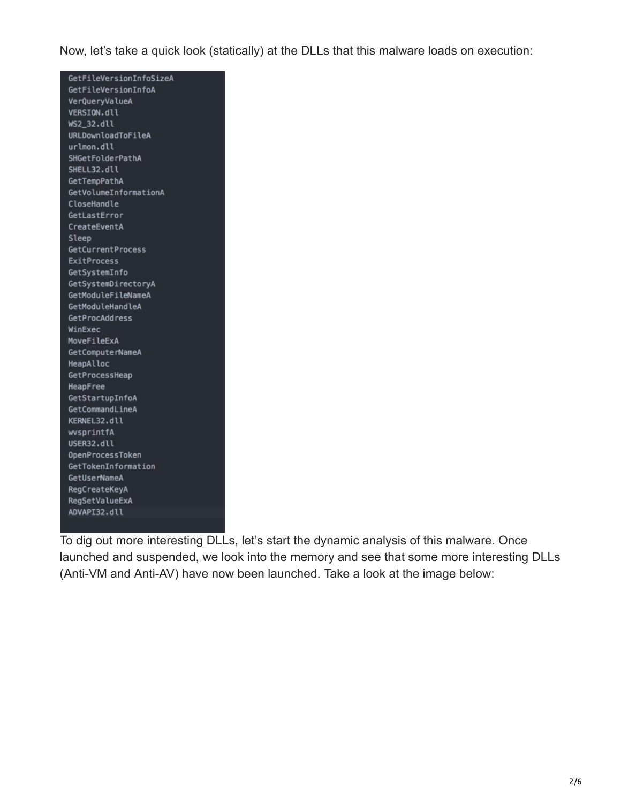Now, let's take a quick look (statically) at the DLLs that this malware loads on execution:

| GetFileVersionInfoSizeA |
|-------------------------|
| GetFileVersionInfoA     |
| VerQueryValueA          |
| VERSION.dll             |
| WS2_32.dll              |
| URLDownloadToFileA      |
| urlmon.dll              |
| SHGetFolderPathA        |
| SHELL32.dll             |
| GetTempPathA            |
| GetVolumeInformationA   |
| CloseHandle             |
| GetLastError            |
| CreateEventA            |
| Sleep                   |
| GetCurrentProcess       |
| <b>ExitProcess</b>      |
| GetSystemInfo           |
| GetSystemDirectoryA     |
| GetModuleFileNameA      |
| GetModuleHandleA        |
| GetProcAddress          |
| WinExec                 |
| MoveFileExA             |
| GetComputerNameA        |
| HeapAlloc               |
| GetProcessHeap          |
| HeapFree                |
| GetStartupInfoA         |
| GetCommandLineA         |
| KERNEL32.dll            |
| wvsprintfA              |
| USER32.dll              |
| OpenProcessToken        |
| GetTokenInformation     |
| GetUserNameA            |
| RegCreateKeyA           |
| RegSetValueExA          |
| ADVAPI32.dll            |
|                         |

To dig out more interesting DLLs, let's start the dynamic analysis of this malware. Once launched and suspended, we look into the memory and see that some more interesting DLLs (Anti-VM and Anti-AV) have now been launched. Take a look at the image below: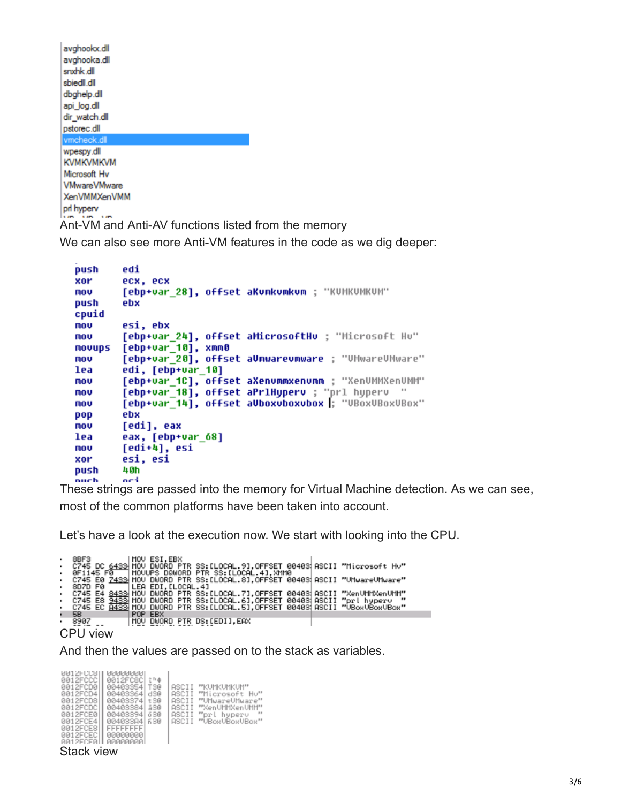| avghookx.dll                                        |  |
|-----------------------------------------------------|--|
| avghooka.dll                                        |  |
| snxhk.dll                                           |  |
| sbiedll.dll                                         |  |
| dbghelp.dll                                         |  |
| api log.dll                                         |  |
| dir watch.dll                                       |  |
| pstorec.dll                                         |  |
| vmcheck.dll                                         |  |
| wpespy.dll                                          |  |
| <b>KVMKVMKVM</b>                                    |  |
| Microsoft Hv                                        |  |
| <b>VMwareVMware</b>                                 |  |
| <b>XenVMMXenVMM</b>                                 |  |
| pri hyperv                                          |  |
| Ant-VM and Anti-AV functions listed from the memory |  |

L.

We can also see more Anti-VM features in the code as we dig deeper:

```
push
        edi
xor
        ecx, ecx
        [ebp+var_28], offset aKumkumkum ; "KUMKUMKUM"
mov
push
        ebx
cpuid
        esi, ebx
mov
        [ebp+var_24], offset aMicrosoftHv ; "Microsoft Hv"
mov
        [ebp+var_10], xmm0<br>[ebp+var_20], offset aUmwarevmware ; "UMwareUMware"
movups
mov
lea
        edi, [ebp+var_10]
         [ebp+var_1C], offset aXenvmmxenvmm ; "XenVMMXenVMM"
mov
         [ebp+var_18], offset aPrlHyperv ; "prl hyperv "
mov
        [ebp+var 14], offset aUboxvboxvbox |; "VBoxVBoxVBox"
mov
        ebx
pop
mou
        [edi], eax
lea
        eax, [ebp+var_68]
        [edi+4], esi
mou
        esi, esi
xor
        40h
push
        oei
.<br>nuch
```
These strings are passed into the memory for Virtual Machine detection. As we can see, most of the common platforms have been taken into account.

Let's have a look at the execution now. We start with looking into the CPU.

|   | 8BF3      |  |         | MOU ESI.EBX                           |  |  |  |  |                                                                                      |  |
|---|-----------|--|---------|---------------------------------------|--|--|--|--|--------------------------------------------------------------------------------------|--|
|   |           |  |         |                                       |  |  |  |  | C745 DC 6433 MOV DWORD PTR SS: [LOCAL.9], OFFSET 00403 ASCII "Microsoft Hv"          |  |
| ٠ | 0F1145 F0 |  |         | MOVUPS DQWORD PTR SS: [LOCAL.4], XMM0 |  |  |  |  |                                                                                      |  |
|   |           |  |         |                                       |  |  |  |  | C745 E0 7433 MOV DWORD PTR SS: [LOCAL.8].OFFSET 004031ASCII "UMwareUMware"           |  |
|   | 8D7D FØ   |  |         | LEA EDI.[LOCAL.4]                     |  |  |  |  |                                                                                      |  |
|   |           |  |         |                                       |  |  |  |  | · C745 E4 <u>8433</u> MOV DWORD PTR SS:[LOCAL.7],OFFSET 00403;ASCII "XenVMMXenVMM"   |  |
|   |           |  |         |                                       |  |  |  |  | C745 E8 9433 MOV DWORD PTR SS:ILOCAL.6],OFFSET 00403 ASCII "prl hyperv               |  |
|   |           |  |         |                                       |  |  |  |  | C745 EC <del>8433</del> MOV DWORD PTR SS:[LOCAL.5],OFFSET 00403 ASCII "VBoxVBoxVBox" |  |
|   | 58        |  | POP EBX |                                       |  |  |  |  |                                                                                      |  |
| ٠ | 8907      |  |         | MOV DWORD PTR DS:[EDI].EAX            |  |  |  |  |                                                                                      |  |
|   |           |  |         |                                       |  |  |  |  |                                                                                      |  |

CPU view

And then the values are passed on to the stack as variables.

| <b>NAISFCCSII</b><br>0012FCCC<br>0012FCD0<br>0012FCD41<br>0012FCD8<br>0012FCDCI<br>0012FCE0<br>0012FCE41<br>0012FCE81<br>0012FCEC1<br>AA12FCFALL | <b>NANNANNA</b><br>0012FC8C<br>00403354<br>00403364<br>004033741<br>00403384<br>004033941<br>004033841<br>FFFFFFFF<br>00000000<br><b>AAAAAAAAI</b> | 空节盘<br>T3@<br>d3@<br>t3@<br>ä3@<br>ö3@<br>630 | ASCII<br>ASCII<br>ASCII<br>ASCII<br>ASCII<br>ASCII | "KUMKUMKUM"<br>"Microsoft Hu"<br>"UMwareUMware"<br>"XenUMMXenUMM"<br>$\mathbb{P}$<br>"prl hyperv<br>"UBoxUBoxUBox" |
|--------------------------------------------------------------------------------------------------------------------------------------------------|----------------------------------------------------------------------------------------------------------------------------------------------------|-----------------------------------------------|----------------------------------------------------|--------------------------------------------------------------------------------------------------------------------|
|--------------------------------------------------------------------------------------------------------------------------------------------------|----------------------------------------------------------------------------------------------------------------------------------------------------|-----------------------------------------------|----------------------------------------------------|--------------------------------------------------------------------------------------------------------------------|

#### Stack view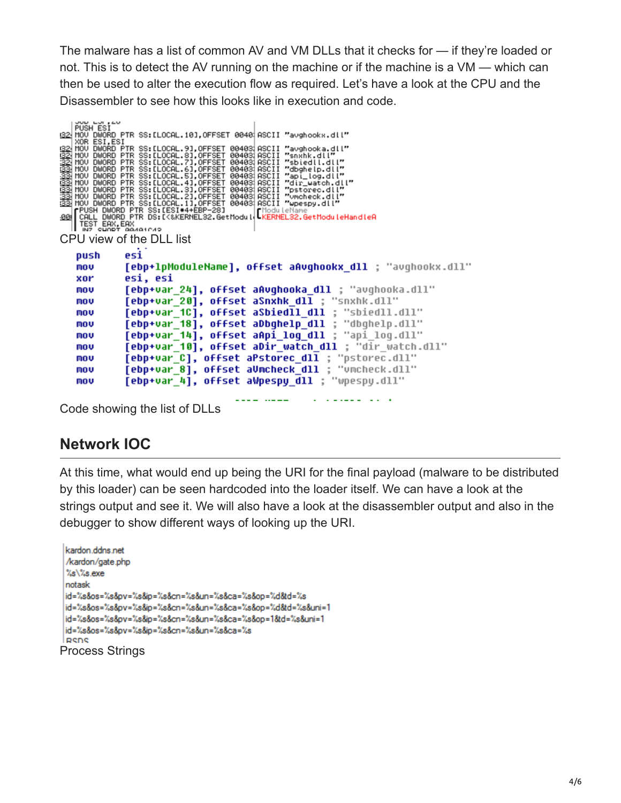The malware has a list of common AV and VM DLLs that it checks for — if they're loaded or not. This is to detect the AV running on the machine or if the machine is a VM — which can then be used to alter the execution flow as required. Let's have a look at the CPU and the Disassembler to see how this looks like in execution and code.

```
PUSH ESI
S2 HOU DWORD PTR SS: LLOCAL. 31, OFFSET 00403 RSCII "avghooks.dll"<br>
S22 HOU DWORD PTR SS: LLOCAL. 91, OFFSET 00403 RSCII "avghooks.dll"<br>
S22 HOU DWORD PTR SS: LLOCAL. 81, OFFSET 00403; ASCII "snxhk.dll"<br>
S22 HOU DWORD PTR 
32 MOU DWORD PTR SS:[LOCAL.10],OFFSET 0040 ASCII "avghookx.dll"
               esi
    push
               [ebp+1pModuleName], offset aAvghookx dll ; "avghookx.dll"
    mov
    xor
               esi, esi
               [ebp+var_24], offset aAvghooka_dll ; "avghooka.dll"
    mou
               [ebp+var_20], offset aSnxhk_dll ; "snxhk.dll"
    mov
               [ebp+var_1C], offset aSbiedll_dll ; "sbiedll.dll"
    mov
                                                                ; "dbqhelp.dll"
               [ebp+var_18], offset aDbghelp_dll
    mov
               [ebp+var 14], offset aApi log dll ; "api log.dll"
    mou
               [ebp+var_10], offset aDir_watch_dll ; "dir_watch.dll"
    mov
               [ebp+var_C], offset aPstorec_dll ; "pstorec.dll"<br>[ebp+var_8], offset aUmcheck_dll ; "vmcheck.dll"
    mov
    mou
    mou
               [ebp+var 4], offset aWpespy dll ; "wpespy.dll"
```
Code showing the list of DLLs

#### **Network IOC**

At this time, what would end up being the URI for the final payload (malware to be distributed by this loader) can be seen hardcoded into the loader itself. We can have a look at the strings output and see it. We will also have a look at the disassembler output and also in the debugger to show different ways of looking up the URI.

```
kardon.ddns.net
 /kardon/gate.php
 %s\%s.exe
 notask
 id=%s&os=%s&pv=%s&ip=%s&cn=%s&un=%s&ca=%s&op=%d&td=%s
 id=%s&os=%s&pv=%s&ip=%s&cn=%s&un=%s&ca=%s&op=%d&td=%s&uni=1
 id=%s&os=%s&pv=%s&ip=%s&cn=%s&un=%s&ca=%s&op=1&td=%s&uni=1
 id=%s&os=%s&pv=%s&ip=%s&cn=%s&un=%s&ca=%s
 RSDS
Process Strings
```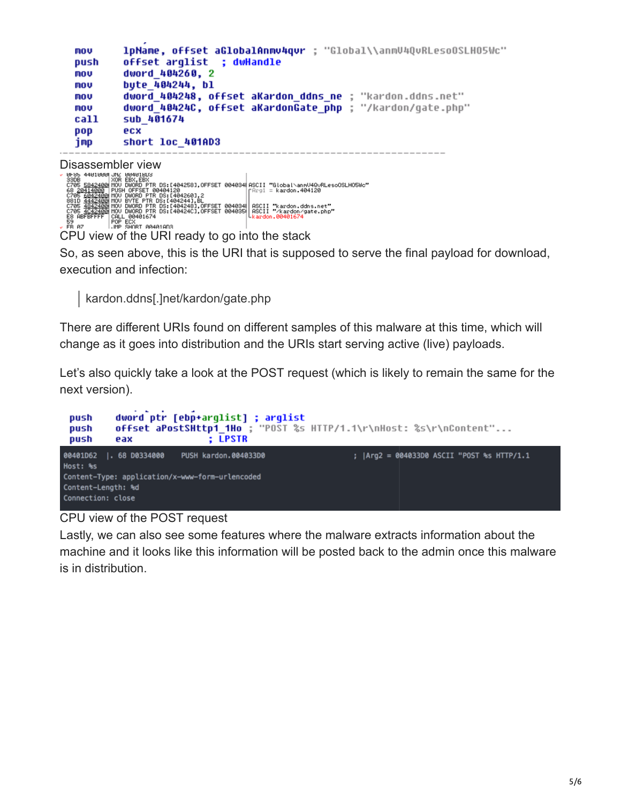| MOV  | 1pName, offset aGlobalAnmv4qvr ; "Global\\anmV4QvRLesoOSLHO5Wc" |
|------|-----------------------------------------------------------------|
| push | offset arglist ; dwHandle                                       |
| MOV  | dword 404260, 2                                                 |
| MOV  | bute 404244, bl                                                 |
| mov  | dword 404248, offset aKardon ddns ne ; "kardon.ddns.net"        |
| mov  | dword 40424C, offset aKardonGate php ; "/kardon/qate.php"       |
| call | sub 401674                                                      |
| pop  | ecx                                                             |
| jmp  | short loc 401AD3                                                |
|      |                                                                 |

DISASSEMDIET VIEW<br>
SECOND METAL BARBASE CONSUMING THE RESERVED OF SALE AND DRIVE THE DS: [404258], OFFSET 004034 ASCII "Global\annU4QuRLesoOSLHO5Wc"<br>
SECOND 1990 PUSH OFFSET 004034120<br>
SECOND 1990 PUSH OFFSET 004034 ASCII 59<br>FR 07

CPU view of the URI ready to go into the stack

So, as seen above, this is the URI that is supposed to serve the final payload for download, execution and infection:

kardon.ddns[.]net/kardon/gate.php

There are different URIs found on different samples of this malware at this time, which will change as it goes into distribution and the URIs start serving active (live) payloads.

Let's also quickly take a look at the POST request (which is likely to remain the same for the next version).



#### CPU view of the POST request

Lastly, we can also see some features where the malware extracts information about the machine and it looks like this information will be posted back to the admin once this malware is in distribution.